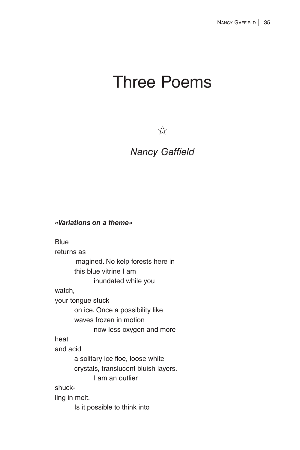# Three Poems

 $\overleftrightarrow{\chi}$ 

## *Nancy Gaffield*

#### *«Variations on a theme»*

**Blue** returns as imagined. No kelp forests here in this blue vitrine I am inundated while you watch, your tongue stuck on ice. Once a possibility like waves frozen in motion now less oxygen and more heat and acid a solitary ice floe, loose white crystals, translucent bluish layers. I am an outlier shuckling in melt. Is it possible to think into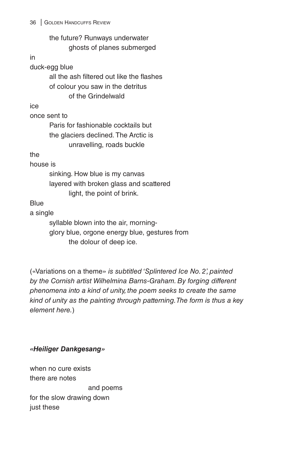|              | the future? Runways underwater                |  |  |  |
|--------------|-----------------------------------------------|--|--|--|
|              | ghosts of planes submerged                    |  |  |  |
| in           |                                               |  |  |  |
|              | duck-egg blue                                 |  |  |  |
|              | all the ash filtered out like the flashes     |  |  |  |
|              | of colour you saw in the detritus             |  |  |  |
|              | of the Grindelwald                            |  |  |  |
| ice          |                                               |  |  |  |
| once sent to |                                               |  |  |  |
|              | Paris for fashionable cocktails but           |  |  |  |
|              | the glaciers declined. The Arctic is          |  |  |  |
|              | unravelling, roads buckle                     |  |  |  |
| the          |                                               |  |  |  |
| house is     |                                               |  |  |  |
|              | sinking. How blue is my canvas                |  |  |  |
|              | layered with broken glass and scattered       |  |  |  |
|              | light, the point of brink.                    |  |  |  |
| <b>Blue</b>  |                                               |  |  |  |
| a single     |                                               |  |  |  |
|              | syllable blown into the air, morning-         |  |  |  |
|              | glory blue, orgone energy blue, gestures from |  |  |  |
|              | the dolour of deep ice.                       |  |  |  |

(«Variations on a theme» *is subtitled 'Splintered Ice No. 2', painted by the Cornish artist Wilhelmina Barns-Graham. By forging different phenomena into a kind of unity, the poem seeks to create the same kind of unity as the painting through patterning. The form is thus a key element here.*)

#### *«Heiliger Dankgesang»*

when no cure exists there are notes and poems for the slow drawing down just these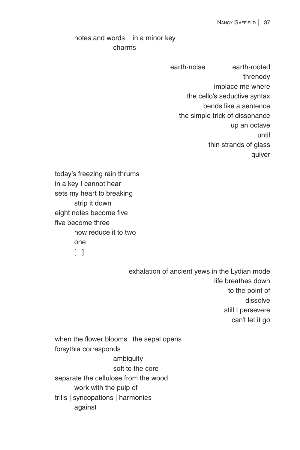### notes and words in a minor key charms

earth-noise earth-rooted threnody implace me where the cello's seductive syntax bends like a sentence the simple trick of dissonance up an octave until thin strands of glass quiver

today's freezing rain thrums in a key I cannot hear sets my heart to breaking strip it down eight notes become five five become three now reduce it to two one  $\lceil$   $\rceil$ 

> exhalation of ancient yews in the Lydian mode life breathes down to the point of dissolve still I persevere can't let it go

when the flower blooms the sepal opens forsythia corresponds ambiguity soft to the core separate the cellulose from the wood work with the pulp of trills | syncopations | harmonies against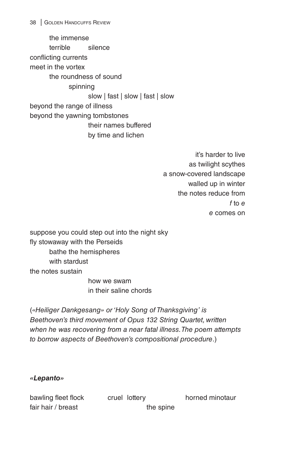the immense terrible silence conflicting currents meet in the vortex the roundness of sound spinning slow | fast | slow | fast | slow beyond the range of illness beyond the yawning tombstones their names buffered by time and lichen

> it's harder to live as twilight scythes a snow-covered landscape walled up in winter the notes reduce from *f* to *e e* comes on

suppose you could step out into the night sky fly stowaway with the Perseids bathe the hemispheres with stardust the notes sustain

 how we swam in their saline chords

(*«Heiliger Dankgesang» or 'Holy Song of Thanksgiving' is Beethoven's third movement of Opus 132 String Quartet, written when he was recovering from a near fatal illness. The poem attempts to borrow aspects of Beethoven's compositional procedure*.)

#### *«Lepanto»*

bawling fleet flock cruel lottery horned minotaur fair hair / breast the spine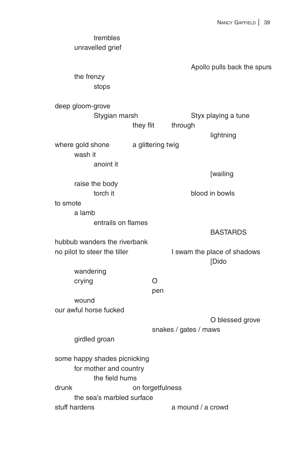| trembles<br>unravelled grief                                             |                   |                       |                                      |
|--------------------------------------------------------------------------|-------------------|-----------------------|--------------------------------------|
|                                                                          |                   |                       | Apollo pulls back the spurs          |
| the frenzy<br>stops                                                      |                   |                       |                                      |
| deep gloom-grove                                                         |                   |                       |                                      |
| Stygian marsh                                                            |                   |                       | Styx playing a tune                  |
|                                                                          | they flit         | through               |                                      |
|                                                                          |                   |                       | lightning                            |
| where gold shone<br>wash it                                              | a glittering twig |                       |                                      |
| anoint it                                                                |                   |                       |                                      |
|                                                                          |                   |                       | [wailing                             |
| raise the body<br>torch it                                               |                   |                       | blood in bowls                       |
| to smote                                                                 |                   |                       |                                      |
| a lamb                                                                   |                   |                       |                                      |
| entrails on flames                                                       |                   |                       |                                      |
| hubbub wanders the riverbank                                             |                   |                       | <b>BASTARDS</b>                      |
| no pilot to steer the tiller                                             |                   |                       | I swam the place of shadows<br>[Dido |
| wandering                                                                |                   |                       |                                      |
| crying                                                                   | O<br>pen          |                       |                                      |
| wound                                                                    |                   |                       |                                      |
| our awful horse fucked                                                   |                   |                       |                                      |
|                                                                          |                   | snakes / gates / maws | O blessed grove                      |
| girdled groan                                                            |                   |                       |                                      |
| some happy shades picnicking<br>for mother and country<br>the field hums |                   |                       |                                      |
| drunk                                                                    | on forgetfulness  |                       |                                      |
| the sea's marbled surface                                                |                   |                       |                                      |
| stuff hardens                                                            |                   | a mound / a crowd     |                                      |